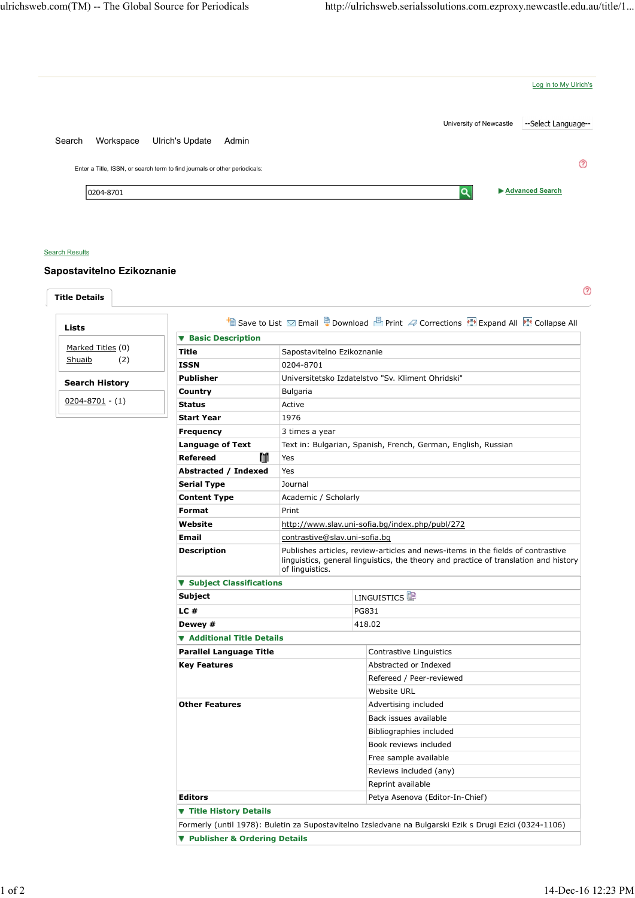

## **Search Results**

Title Details

## Sapostavitelno Ezikoznanie

 $^{\circledR}$ 

|                       | <b>V</b> Basic Description                                                                              |                                                               |                                                                                                                                                                         |  |
|-----------------------|---------------------------------------------------------------------------------------------------------|---------------------------------------------------------------|-------------------------------------------------------------------------------------------------------------------------------------------------------------------------|--|
| Marked Titles (0)     | Title                                                                                                   | Sapostavitelno Ezikoznanie                                    |                                                                                                                                                                         |  |
| (2)<br>Shuaib         | <b>ISSN</b>                                                                                             | 0204-8701                                                     |                                                                                                                                                                         |  |
|                       | <b>Publisher</b>                                                                                        |                                                               | Universitetsko Izdatelstvo "Sv. Kliment Ohridski"                                                                                                                       |  |
| <b>Search History</b> | Country                                                                                                 | Bulgaria                                                      |                                                                                                                                                                         |  |
| $0204 - 8701 - (1)$   | <b>Status</b>                                                                                           | Active                                                        |                                                                                                                                                                         |  |
|                       | <b>Start Year</b>                                                                                       | 1976                                                          |                                                                                                                                                                         |  |
|                       | <b>Frequency</b>                                                                                        | 3 times a year                                                |                                                                                                                                                                         |  |
|                       | <b>Language of Text</b>                                                                                 | Text in: Bulgarian, Spanish, French, German, English, Russian |                                                                                                                                                                         |  |
|                       | M<br><b>Refereed</b>                                                                                    | Yes                                                           |                                                                                                                                                                         |  |
|                       | Abstracted / Indexed                                                                                    | Yes                                                           |                                                                                                                                                                         |  |
|                       | <b>Serial Type</b>                                                                                      | Journal                                                       |                                                                                                                                                                         |  |
|                       | <b>Content Type</b>                                                                                     | Academic / Scholarly                                          |                                                                                                                                                                         |  |
|                       | Format                                                                                                  | Print<br>http://www.slav.uni-sofia.bg/index.php/publ/272      |                                                                                                                                                                         |  |
|                       | Website                                                                                                 |                                                               |                                                                                                                                                                         |  |
|                       | <b>Email</b>                                                                                            | contrastive@slav.uni-sofia.bg                                 |                                                                                                                                                                         |  |
|                       | <b>Description</b>                                                                                      | of linguistics.                                               | Publishes articles, review-articles and news-items in the fields of contrastive<br>linguistics, general linguistics, the theory and practice of translation and history |  |
|                       | <b>v</b> Subject Classifications                                                                        |                                                               |                                                                                                                                                                         |  |
|                       | Subject                                                                                                 |                                                               | LINGUISTICS <sup>T</sup>                                                                                                                                                |  |
|                       | LC#                                                                                                     |                                                               | <b>PG831</b>                                                                                                                                                            |  |
|                       | Dewey #                                                                                                 |                                                               | 418.02                                                                                                                                                                  |  |
|                       | ▼ Additional Title Details                                                                              |                                                               |                                                                                                                                                                         |  |
|                       | <b>Parallel Language Title</b>                                                                          |                                                               | Contrastive Linguistics                                                                                                                                                 |  |
|                       | <b>Key Features</b>                                                                                     |                                                               | Abstracted or Indexed                                                                                                                                                   |  |
|                       |                                                                                                         |                                                               | Refereed / Peer-reviewed                                                                                                                                                |  |
|                       |                                                                                                         |                                                               | Website URL                                                                                                                                                             |  |
|                       | <b>Other Features</b>                                                                                   |                                                               | Advertising included                                                                                                                                                    |  |
|                       |                                                                                                         |                                                               | Back issues available                                                                                                                                                   |  |
|                       |                                                                                                         |                                                               | Bibliographies included                                                                                                                                                 |  |
|                       |                                                                                                         |                                                               | Book reviews included                                                                                                                                                   |  |
|                       |                                                                                                         |                                                               | Free sample available                                                                                                                                                   |  |
|                       |                                                                                                         |                                                               | Reviews included (any)                                                                                                                                                  |  |
|                       |                                                                                                         |                                                               | Reprint available                                                                                                                                                       |  |
|                       | Editors                                                                                                 |                                                               | Petya Asenova (Editor-In-Chief)                                                                                                                                         |  |
|                       | <b>Title History Details</b>                                                                            |                                                               |                                                                                                                                                                         |  |
|                       | Formerly (until 1978): Buletin za Supostavitelno Izsledvane na Bulgarski Ezik s Drugi Ezici (0324-1106) |                                                               |                                                                                                                                                                         |  |
|                       | ▼ Publisher & Ordering Details                                                                          |                                                               |                                                                                                                                                                         |  |
|                       |                                                                                                         |                                                               |                                                                                                                                                                         |  |